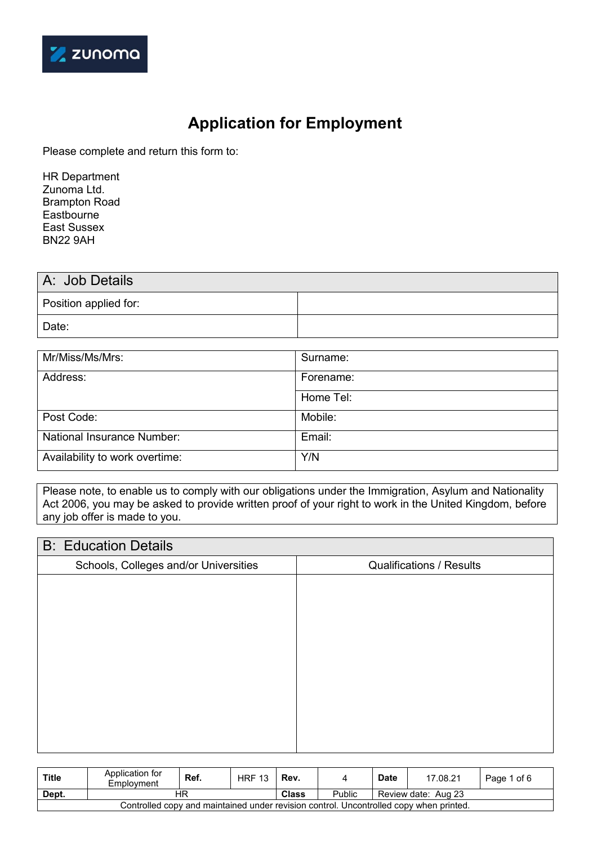

# **Application for Employment**

Please complete and return this form to:

HR Department Zunoma Ltd. Brampton Road Eastbourne East Sussex BN22 9AH

| A: Job Details        |  |
|-----------------------|--|
| Position applied for: |  |
| Date:                 |  |

| Mr/Miss/Ms/Mrs:                | Surname:  |
|--------------------------------|-----------|
| Address:                       | Forename: |
|                                | Home Tel: |
| Post Code:                     | Mobile:   |
| National Insurance Number:     | Email:    |
| Availability to work overtime: | Y/N       |

Please note, to enable us to comply with our obligations under the Immigration, Asylum and Nationality Act 2006, you may be asked to provide written proof of your right to work in the United Kingdom, before any job offer is made to you.

### B: Education Details

| D. LUUVUUVII DUUIIV                   |                                 |
|---------------------------------------|---------------------------------|
| Schools, Colleges and/or Universities | <b>Qualifications / Results</b> |
|                                       |                                 |
|                                       |                                 |
|                                       |                                 |
|                                       |                                 |
|                                       |                                 |
|                                       |                                 |
|                                       |                                 |
|                                       |                                 |
|                                       |                                 |
|                                       |                                 |

| <b>Title</b>                                                                           | Application for<br>Employment | Ref. | <b>HRF 13</b> | Rev.         |        | <b>Date</b> | 17.08.21            | Page 1 of 6 |
|----------------------------------------------------------------------------------------|-------------------------------|------|---------------|--------------|--------|-------------|---------------------|-------------|
| Dept.                                                                                  | НR                            |      |               | <b>Class</b> | Public |             | Review date: Aug 23 |             |
| Controlled copy and maintained under revision control. Uncontrolled copy when printed. |                               |      |               |              |        |             |                     |             |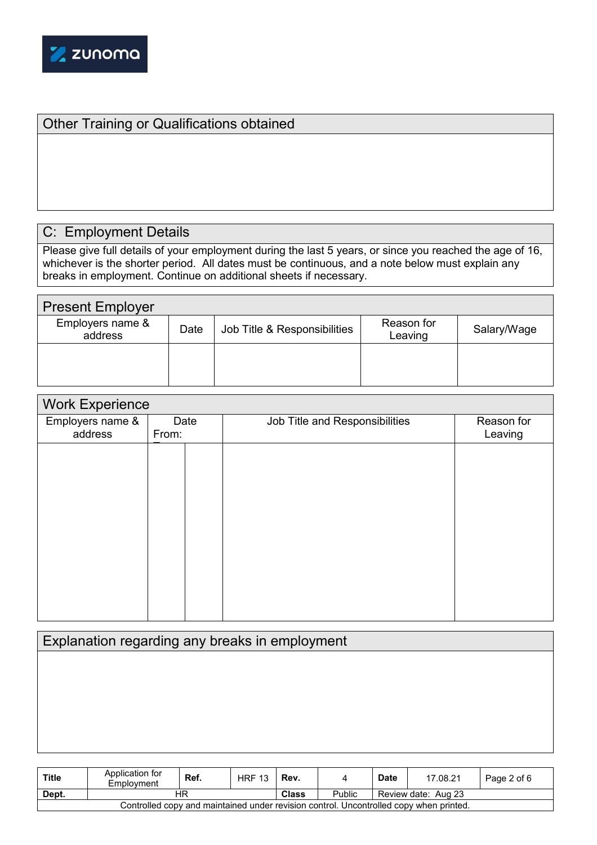

# Other Training or Qualifications obtained

## C: Employment Details

Please give full details of your employment during the last 5 years, or since you reached the age of 16, whichever is the shorter period. All dates must be continuous, and a note below must explain any breaks in employment. Continue on additional sheets if necessary.

| <b>Present Employer</b>     |      |                              |                       |             |
|-----------------------------|------|------------------------------|-----------------------|-------------|
| Employers name &<br>address | Date | Job Title & Responsibilities | Reason for<br>Leaving | Salary/Wage |
|                             |      |                              |                       |             |
|                             |      |                              |                       |             |

| <b>Work Experience</b> |       |                                |            |  |  |  |  |
|------------------------|-------|--------------------------------|------------|--|--|--|--|
| Employers name &       | Date  | Job Title and Responsibilities | Reason for |  |  |  |  |
| address                | From: |                                | Leaving    |  |  |  |  |
|                        |       |                                |            |  |  |  |  |
|                        |       |                                |            |  |  |  |  |
|                        |       |                                |            |  |  |  |  |
|                        |       |                                |            |  |  |  |  |
|                        |       |                                |            |  |  |  |  |
|                        |       |                                |            |  |  |  |  |
|                        |       |                                |            |  |  |  |  |
|                        |       |                                |            |  |  |  |  |
|                        |       |                                |            |  |  |  |  |
|                        |       |                                |            |  |  |  |  |
|                        |       |                                |            |  |  |  |  |
|                        |       |                                |            |  |  |  |  |
|                        |       |                                |            |  |  |  |  |

## Explanation regarding any breaks in employment

| <b>Title</b>                                                                           | Application for<br>Employment | Ref.         | <b>HRF 13</b> | Rev. |                     | <b>Date</b> | 17.08.21 | Page 2 of 6 |
|----------------------------------------------------------------------------------------|-------------------------------|--------------|---------------|------|---------------------|-------------|----------|-------------|
| Dept.                                                                                  | НR                            | <b>Class</b> | Public        |      | Review date: Aug 23 |             |          |             |
| Controlled copy and maintained under revision control. Uncontrolled copy when printed. |                               |              |               |      |                     |             |          |             |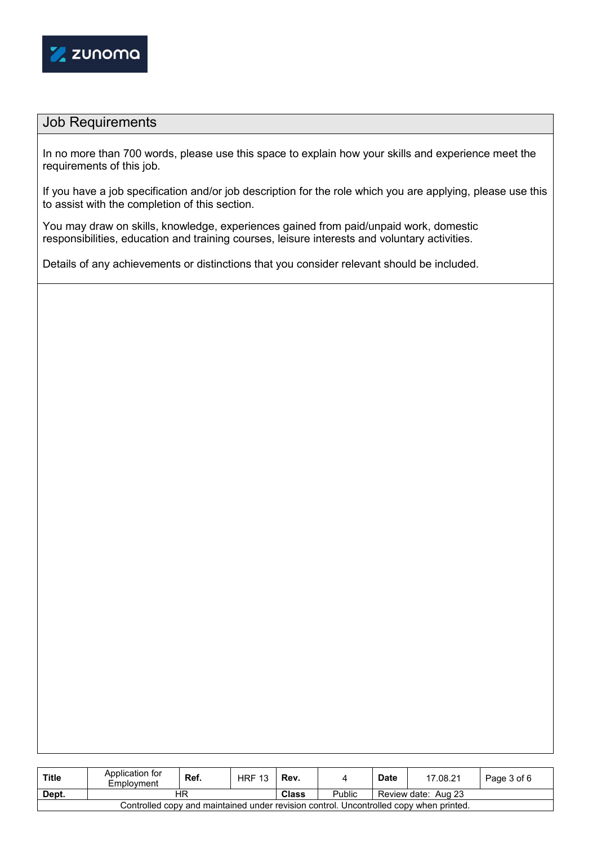

## Job Requirements

In no more than 700 words, please use this space to explain how your skills and experience meet the requirements of this job.

If you have a job specification and/or job description for the role which you are applying, please use this to assist with the completion of this section.

You may draw on skills, knowledge, experiences gained from paid/unpaid work, domestic responsibilities, education and training courses, leisure interests and voluntary activities.

Details of any achievements or distinctions that you consider relevant should be included.

| <b>Title</b>                                                                           | Application for<br>Employment | Ref.         | <b>HRF 13</b> | Rev. |                     | <b>Date</b> | 17.08.21 | Page 3 of 6 |
|----------------------------------------------------------------------------------------|-------------------------------|--------------|---------------|------|---------------------|-------------|----------|-------------|
| Dept.                                                                                  | ΗR                            | <b>Class</b> | Public        |      | Review date: Aug 23 |             |          |             |
| Controlled copy and maintained under revision control. Uncontrolled copy when printed. |                               |              |               |      |                     |             |          |             |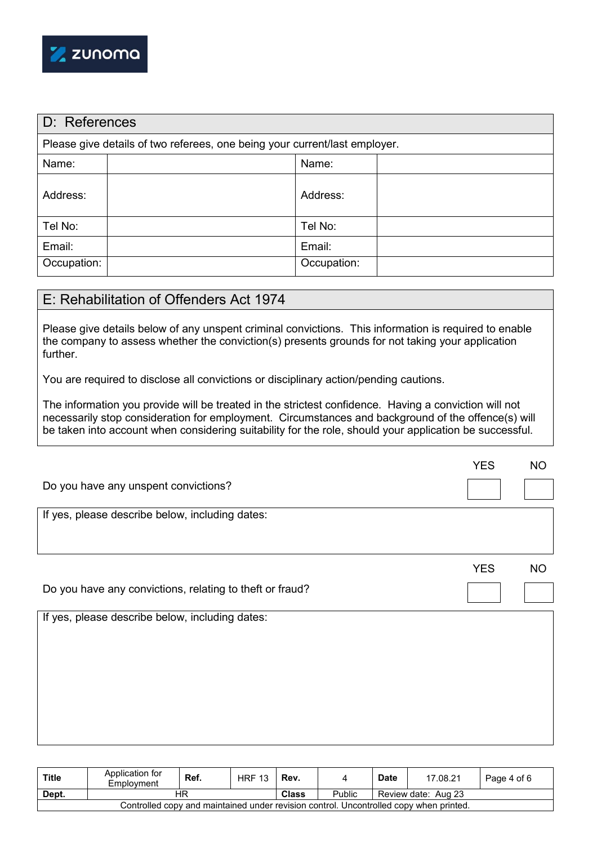

| D: References |                                                                            |             |  |  |  |  |  |
|---------------|----------------------------------------------------------------------------|-------------|--|--|--|--|--|
|               | Please give details of two referees, one being your current/last employer. |             |  |  |  |  |  |
| Name:         |                                                                            | Name:       |  |  |  |  |  |
| Address:      |                                                                            | Address:    |  |  |  |  |  |
| Tel No:       |                                                                            | Tel No:     |  |  |  |  |  |
| Email:        |                                                                            | Email:      |  |  |  |  |  |
| Occupation:   |                                                                            | Occupation: |  |  |  |  |  |

### E: Rehabilitation of Offenders Act 1974

Please give details below of any unspent criminal convictions. This information is required to enable the company to assess whether the conviction(s) presents grounds for not taking your application further.

You are required to disclose all convictions or disciplinary action/pending cautions.

The information you provide will be treated in the strictest confidence. Having a conviction will not necessarily stop consideration for employment. Circumstances and background of the offence(s) will be taken into account when considering suitability for the role, should your application be successful.

|                                                          | <b>YES</b> | <b>NO</b> |
|----------------------------------------------------------|------------|-----------|
| Do you have any unspent convictions?                     |            |           |
| If yes, please describe below, including dates:          |            |           |
|                                                          |            |           |
|                                                          | <b>YES</b> | <b>NO</b> |
| Do you have any convictions, relating to theft or fraud? |            |           |
| If yes, please describe below, including dates:          |            |           |
|                                                          |            |           |
|                                                          |            |           |
|                                                          |            |           |
|                                                          |            |           |
|                                                          |            |           |
|                                                          |            |           |

| <b>Title</b>                                                                           | Application for<br>Employment | Ref.         | <b>HRF 13</b> | Rev. |                     | <b>Date</b> | 17.08.21 | Page 4 of 6 |
|----------------------------------------------------------------------------------------|-------------------------------|--------------|---------------|------|---------------------|-------------|----------|-------------|
| Dept.                                                                                  | НR                            | <b>Class</b> | Public        |      | Review date: Aug 23 |             |          |             |
| Controlled copy and maintained under revision control. Uncontrolled copy when printed. |                               |              |               |      |                     |             |          |             |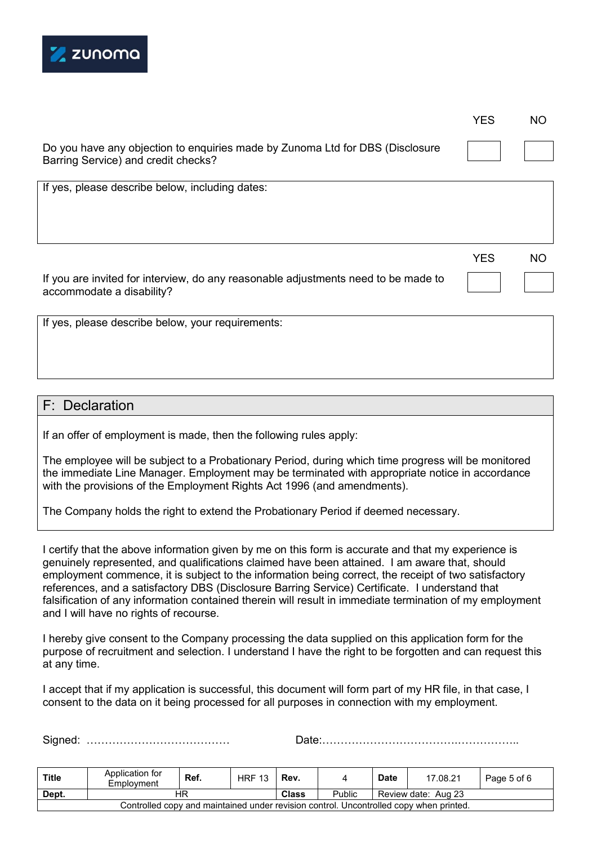

| YES | <b>NO</b> |
|-----|-----------|
|-----|-----------|

Do you have any objection to enquiries made by Zunoma Ltd for DBS (Disclosure Barring Service) and credit checks?

If yes, please describe below, including dates:

If you are invited for interview, do any reasonable adjustments need to be made to accommodate a disability?

**YES** 

If yes, please describe below, your requirements:

#### F: Declaration

If an offer of employment is made, then the following rules apply:

The employee will be subject to a Probationary Period, during which time progress will be monitored the immediate Line Manager. Employment may be terminated with appropriate notice in accordance with the provisions of the Employment Rights Act 1996 (and amendments).

The Company holds the right to extend the Probationary Period if deemed necessary.

I certify that the above information given by me on this form is accurate and that my experience is genuinely represented, and qualifications claimed have been attained. I am aware that, should employment commence, it is subject to the information being correct, the receipt of two satisfactory references, and a satisfactory DBS (Disclosure Barring Service) Certificate. I understand that falsification of any information contained therein will result in immediate termination of my employment and I will have no rights of recourse.

I hereby give consent to the Company processing the data supplied on this application form for the purpose of recruitment and selection. I understand I have the right to be forgotten and can request this at any time.

I accept that if my application is successful, this document will form part of my HR file, in that case, I consent to the data on it being processed for all purposes in connection with my employment.

| <b>Title</b>                                                                           | Application for<br>Employment | Ref. | <b>HRF 13</b> | Rev.         |        | <b>Date</b> | 17.08.21            | Page 5 of 6 |
|----------------------------------------------------------------------------------------|-------------------------------|------|---------------|--------------|--------|-------------|---------------------|-------------|
| Dept.                                                                                  | НF                            |      |               | <b>Class</b> | Public |             | Review date: Aug 23 |             |
| Controlled copy and maintained under revision control. Uncontrolled copy when printed. |                               |      |               |              |        |             |                     |             |